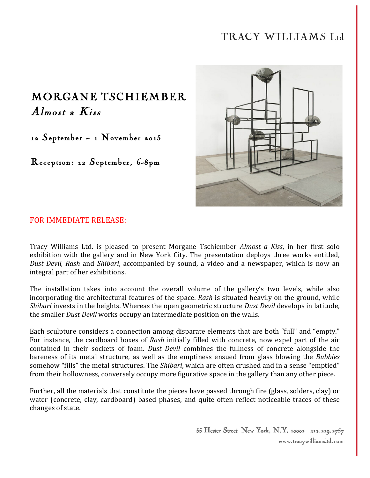## TRACY WILLIAMS Ltd

## MORGANE TSCHIEMBER Almost a Kiss

12 September – 1 November 2015

Reception: 12 September, 6-8pm



## FOR IMMEDIATE RELEASE:

Tracy Williams Ltd. is pleased to present Morgane Tschiember *Almost a Kiss*, in her first solo exhibition with the gallery and in New York City. The presentation deploys three works entitled, *Dust Devil, Rash* and *Shibari*, accompanied by sound, a video and a newspaper, which is now an integral part of her exhibitions.

The installation takes into account the overall volume of the gallery's two levels, while also incorporating the architectural features of the space. *Rash* is situated heavily on the ground, while *Shibari* invests in the heights. Whereas the open geometric structure *Dust Devil* develops in latitude, the smaller *Dust Devil* works occupy an intermediate position on the walls.

Each sculpture considers a connection among disparate elements that are both "full" and "empty." For instance, the cardboard boxes of *Rash* initially filled with concrete, now expel part of the air contained in their sockets of foam. *Dust Devil* combines the fullness of concrete alongside the bareness of its metal structure, as well as the emptiness ensued from glass blowing the *Bubbles* somehow "fills" the metal structures. The *Shibari*, which are often crushed and in a sense "emptied" from their hollowness, conversely occupy more figurative space in the gallery than any other piece.

Further, all the materials that constitute the pieces have passed through fire (glass, solders, clay) or water (concrete, clay, cardboard) based phases, and quite often reflect noticeable traces of these changes of state.

> 55 Hester Street New York, N.Y. 10002 212.229.2757 www.tracywilliamsltd.com